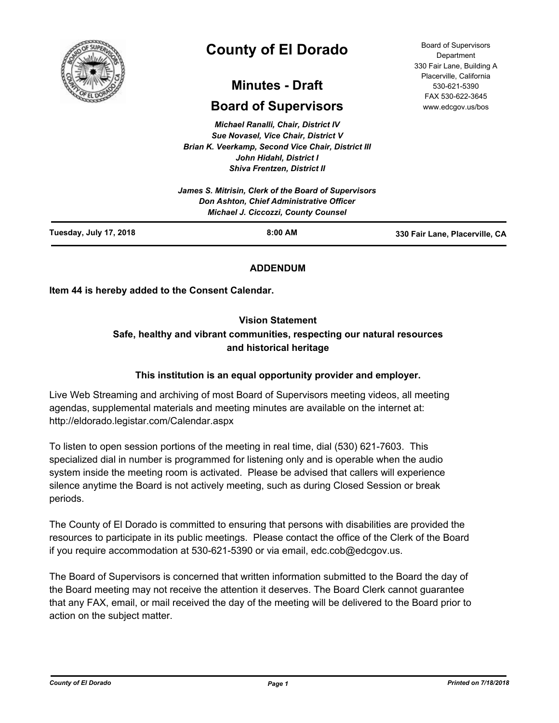

# **County of El Dorado**

# **Minutes - Draft**

# **Board of Supervisors**

*Michael Ranalli, Chair, District IV Sue Novasel, Vice Chair, District V Brian K. Veerkamp, Second Vice Chair, District III John Hidahl, District I Shiva Frentzen, District II*

|                        | James S. Mitrisin, Clerk of the Board of Supervisors<br>Don Ashton, Chief Administrative Officer<br><b>Michael J. Ciccozzi, County Counsel</b> |                                |
|------------------------|------------------------------------------------------------------------------------------------------------------------------------------------|--------------------------------|
| Tuesday, July 17, 2018 | $8:00$ AM                                                                                                                                      | 330 Fair Lane, Placerville, CA |

## **ADDENDUM**

**Item 44 is hereby added to the Consent Calendar.**

## **Vision Statement**

# **Safe, healthy and vibrant communities, respecting our natural resources and historical heritage**

## **This institution is an equal opportunity provider and employer.**

Live Web Streaming and archiving of most Board of Supervisors meeting videos, all meeting agendas, supplemental materials and meeting minutes are available on the internet at: http://eldorado.legistar.com/Calendar.aspx

To listen to open session portions of the meeting in real time, dial (530) 621-7603. This specialized dial in number is programmed for listening only and is operable when the audio system inside the meeting room is activated. Please be advised that callers will experience silence anytime the Board is not actively meeting, such as during Closed Session or break periods.

The County of El Dorado is committed to ensuring that persons with disabilities are provided the resources to participate in its public meetings. Please contact the office of the Clerk of the Board if you require accommodation at 530-621-5390 or via email, edc.cob@edcgov.us.

The Board of Supervisors is concerned that written information submitted to the Board the day of the Board meeting may not receive the attention it deserves. The Board Clerk cannot guarantee that any FAX, email, or mail received the day of the meeting will be delivered to the Board prior to action on the subject matter.

Board of Supervisors Department 330 Fair Lane, Building A Placerville, California 530-621-5390 FAX 530-622-3645 www.edcgov.us/bos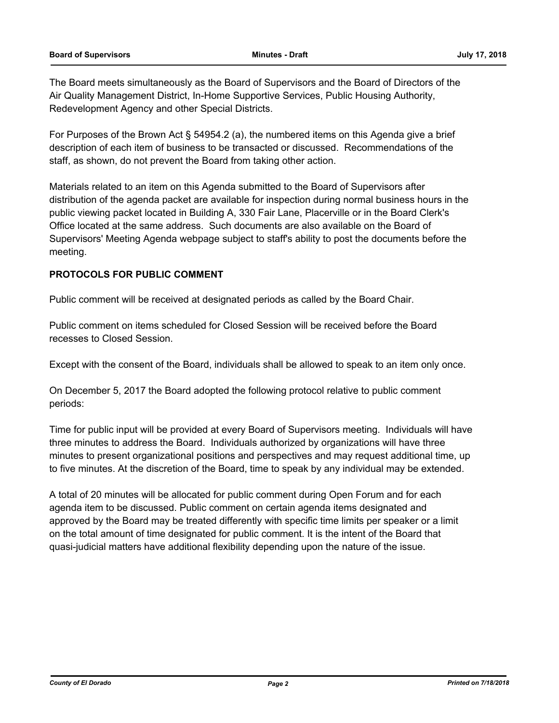The Board meets simultaneously as the Board of Supervisors and the Board of Directors of the Air Quality Management District, In-Home Supportive Services, Public Housing Authority, Redevelopment Agency and other Special Districts.

For Purposes of the Brown Act § 54954.2 (a), the numbered items on this Agenda give a brief description of each item of business to be transacted or discussed. Recommendations of the staff, as shown, do not prevent the Board from taking other action.

Materials related to an item on this Agenda submitted to the Board of Supervisors after distribution of the agenda packet are available for inspection during normal business hours in the public viewing packet located in Building A, 330 Fair Lane, Placerville or in the Board Clerk's Office located at the same address. Such documents are also available on the Board of Supervisors' Meeting Agenda webpage subject to staff's ability to post the documents before the meeting.

## **PROTOCOLS FOR PUBLIC COMMENT**

Public comment will be received at designated periods as called by the Board Chair.

Public comment on items scheduled for Closed Session will be received before the Board recesses to Closed Session.

Except with the consent of the Board, individuals shall be allowed to speak to an item only once.

On December 5, 2017 the Board adopted the following protocol relative to public comment periods:

Time for public input will be provided at every Board of Supervisors meeting. Individuals will have three minutes to address the Board. Individuals authorized by organizations will have three minutes to present organizational positions and perspectives and may request additional time, up to five minutes. At the discretion of the Board, time to speak by any individual may be extended.

A total of 20 minutes will be allocated for public comment during Open Forum and for each agenda item to be discussed. Public comment on certain agenda items designated and approved by the Board may be treated differently with specific time limits per speaker or a limit on the total amount of time designated for public comment. It is the intent of the Board that quasi-judicial matters have additional flexibility depending upon the nature of the issue.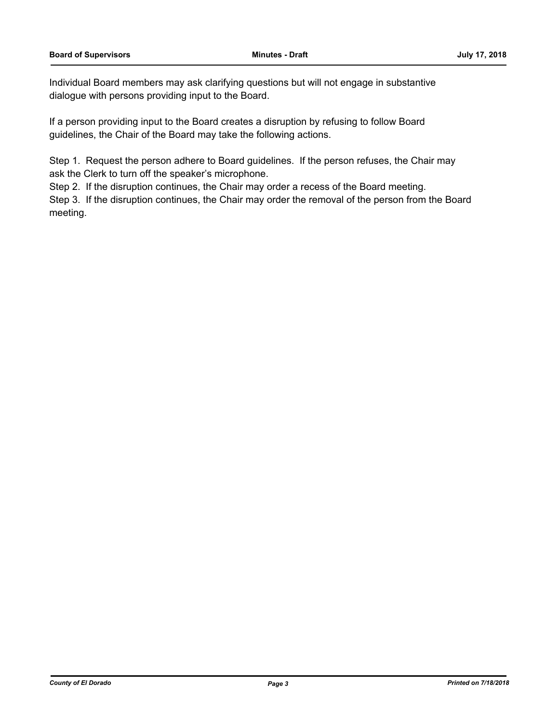Individual Board members may ask clarifying questions but will not engage in substantive dialogue with persons providing input to the Board.

If a person providing input to the Board creates a disruption by refusing to follow Board guidelines, the Chair of the Board may take the following actions.

Step 1. Request the person adhere to Board guidelines. If the person refuses, the Chair may ask the Clerk to turn off the speaker's microphone.

Step 2. If the disruption continues, the Chair may order a recess of the Board meeting.

Step 3. If the disruption continues, the Chair may order the removal of the person from the Board meeting.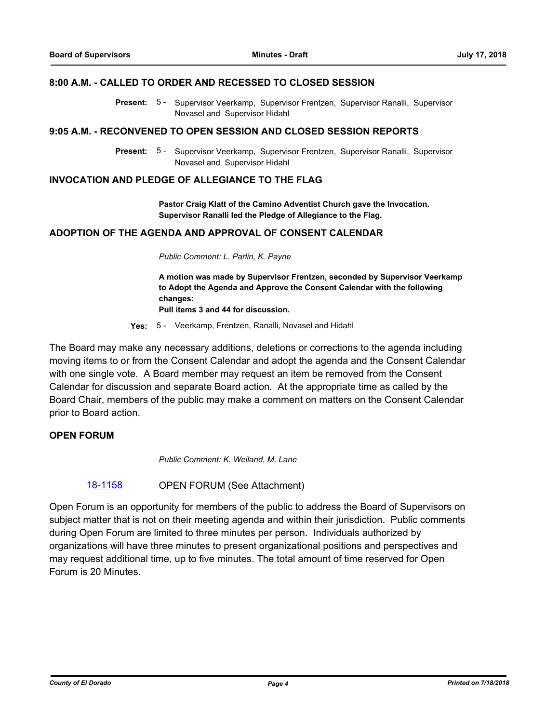#### **8:00 A.M. - CALLED TO ORDER AND RECESSED TO CLOSED SESSION**

Present: 5 - Supervisor Veerkamp, Supervisor Frentzen, Supervisor Ranalli, Supervisor Novasel and Supervisor Hidahl

#### **9:05 A.M. - RECONVENED TO OPEN SESSION AND CLOSED SESSION REPORTS**

Present: 5 - Supervisor Veerkamp, Supervisor Frentzen, Supervisor Ranalli, Supervisor Novasel and Supervisor Hidahl

#### **INVOCATION AND PLEDGE OF ALLEGIANCE TO THE FLAG**

**Pastor Craig Klatt of the Camino Adventist Church gave the Invocation. Supervisor Ranalli led the Pledge of Allegiance to the Flag.**

## **ADOPTION OF THE AGENDA AND APPROVAL OF CONSENT CALENDAR**

*Public Comment: L. Parlin, K. Payne*

**A motion was made by Supervisor Frentzen, seconded by Supervisor Veerkamp to Adopt the Agenda and Approve the Consent Calendar with the following changes:**

**Pull items 3 and 44 for discussion.**

**Yes:** 5 - Veerkamp, Frentzen, Ranalli, Novasel and Hidahl

The Board may make any necessary additions, deletions or corrections to the agenda including moving items to or from the Consent Calendar and adopt the agenda and the Consent Calendar with one single vote. A Board member may request an item be removed from the Consent Calendar for discussion and separate Board action. At the appropriate time as called by the Board Chair, members of the public may make a comment on matters on the Consent Calendar prior to Board action.

#### **OPEN FORUM**

*Public Comment: K. Weiland, M. Lane*

[18-1158](http://eldorado.legistar.com/gateway.aspx?m=l&id=/matter.aspx?key=24508) OPEN FORUM (See Attachment)

Open Forum is an opportunity for members of the public to address the Board of Supervisors on subject matter that is not on their meeting agenda and within their jurisdiction. Public comments during Open Forum are limited to three minutes per person. Individuals authorized by organizations will have three minutes to present organizational positions and perspectives and may request additional time, up to five minutes. The total amount of time reserved for Open Forum is 20 Minutes.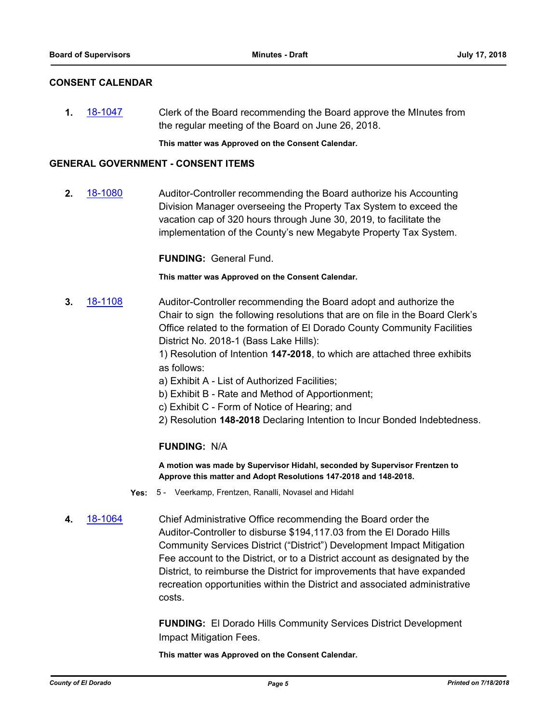#### **CONSENT CALENDAR**

**1.** [18-1047](http://eldorado.legistar.com/gateway.aspx?m=l&id=/matter.aspx?key=24396) Clerk of the Board recommending the Board approve the MInutes from the regular meeting of the Board on June 26, 2018.

**This matter was Approved on the Consent Calendar.**

#### **GENERAL GOVERNMENT - CONSENT ITEMS**

**2.** [18-1080](http://eldorado.legistar.com/gateway.aspx?m=l&id=/matter.aspx?key=24430) Auditor-Controller recommending the Board authorize his Accounting Division Manager overseeing the Property Tax System to exceed the vacation cap of 320 hours through June 30, 2019, to facilitate the implementation of the County's new Megabyte Property Tax System.

**FUNDING:** General Fund.

**This matter was Approved on the Consent Calendar.**

**3.** [18-1108](http://eldorado.legistar.com/gateway.aspx?m=l&id=/matter.aspx?key=24458) Auditor-Controller recommending the Board adopt and authorize the Chair to sign the following resolutions that are on file in the Board Clerk's Office related to the formation of El Dorado County Community Facilities District No. 2018-1 (Bass Lake Hills):

> 1) Resolution of Intention **147-2018**, to which are attached three exhibits as follows:

- a) Exhibit A List of Authorized Facilities;
- b) Exhibit B Rate and Method of Apportionment;
- c) Exhibit C Form of Notice of Hearing; and
- 2) Resolution **148-2018** Declaring Intention to Incur Bonded Indebtedness.

#### **FUNDING:** N/A

**A motion was made by Supervisor Hidahl, seconded by Supervisor Frentzen to Approve this matter and Adopt Resolutions 147-2018 and 148-2018.**

- **Yes:** 5 Veerkamp, Frentzen, Ranalli, Novasel and Hidahl
- **4.** [18-1064](http://eldorado.legistar.com/gateway.aspx?m=l&id=/matter.aspx?key=24414) Chief Administrative Office recommending the Board order the Auditor-Controller to disburse \$194,117.03 from the El Dorado Hills Community Services District ("District") Development Impact Mitigation Fee account to the District, or to a District account as designated by the District, to reimburse the District for improvements that have expanded recreation opportunities within the District and associated administrative costs.

**FUNDING:** El Dorado Hills Community Services District Development Impact Mitigation Fees.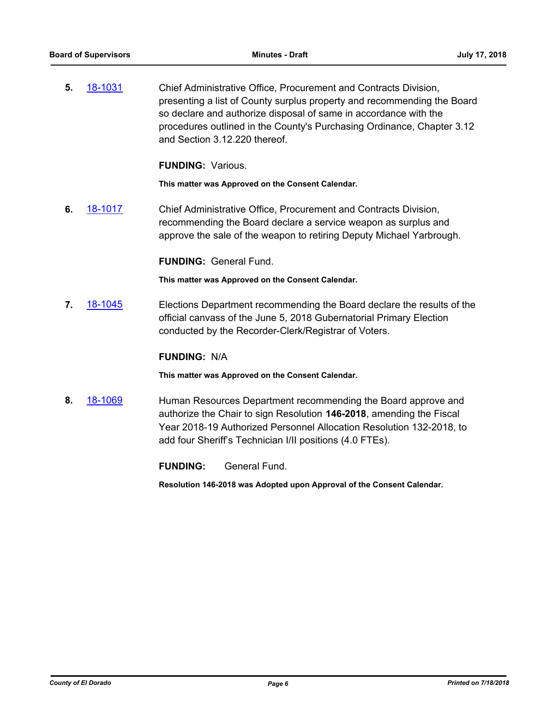**5.** [18-1031](http://eldorado.legistar.com/gateway.aspx?m=l&id=/matter.aspx?key=24380) Chief Administrative Office, Procurement and Contracts Division, presenting a list of County surplus property and recommending the Board so declare and authorize disposal of same in accordance with the procedures outlined in the County's Purchasing Ordinance, Chapter 3.12 and Section 3.12.220 thereof.

**FUNDING:** Various.

**This matter was Approved on the Consent Calendar.**

**6.** [18-1017](http://eldorado.legistar.com/gateway.aspx?m=l&id=/matter.aspx?key=24366) Chief Administrative Office, Procurement and Contracts Division, recommending the Board declare a service weapon as surplus and approve the sale of the weapon to retiring Deputy Michael Yarbrough.

**FUNDING:** General Fund.

**This matter was Approved on the Consent Calendar.**

**7.** [18-1045](http://eldorado.legistar.com/gateway.aspx?m=l&id=/matter.aspx?key=24394) Elections Department recommending the Board declare the results of the official canvass of the June 5, 2018 Gubernatorial Primary Election conducted by the Recorder-Clerk/Registrar of Voters.

#### **FUNDING:** N/A

**This matter was Approved on the Consent Calendar.**

**8.** [18-1069](http://eldorado.legistar.com/gateway.aspx?m=l&id=/matter.aspx?key=24419) Human Resources Department recommending the Board approve and authorize the Chair to sign Resolution **146-2018**, amending the Fiscal Year 2018-19 Authorized Personnel Allocation Resolution 132-2018, to add four Sheriff's Technician I/II positions (4.0 FTEs).

**FUNDING:** General Fund.

**Resolution 146-2018 was Adopted upon Approval of the Consent Calendar.**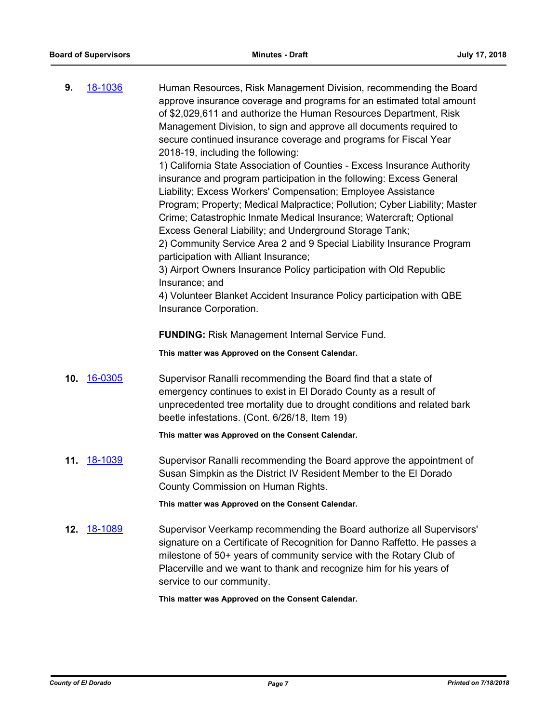| 9.  | 18-1036        | Human Resources, Risk Management Division, recommending the Board<br>approve insurance coverage and programs for an estimated total amount<br>of \$2,029,611 and authorize the Human Resources Department, Risk<br>Management Division, to sign and approve all documents required to<br>secure continued insurance coverage and programs for Fiscal Year<br>2018-19, including the following:<br>1) California State Association of Counties - Excess Insurance Authority<br>insurance and program participation in the following: Excess General<br>Liability; Excess Workers' Compensation; Employee Assistance<br>Program; Property; Medical Malpractice; Pollution; Cyber Liability; Master<br>Crime; Catastrophic Inmate Medical Insurance; Watercraft; Optional<br>Excess General Liability; and Underground Storage Tank;<br>2) Community Service Area 2 and 9 Special Liability Insurance Program<br>participation with Alliant Insurance;<br>3) Airport Owners Insurance Policy participation with Old Republic<br>Insurance; and<br>4) Volunteer Blanket Accident Insurance Policy participation with QBE<br>Insurance Corporation. |
|-----|----------------|------------------------------------------------------------------------------------------------------------------------------------------------------------------------------------------------------------------------------------------------------------------------------------------------------------------------------------------------------------------------------------------------------------------------------------------------------------------------------------------------------------------------------------------------------------------------------------------------------------------------------------------------------------------------------------------------------------------------------------------------------------------------------------------------------------------------------------------------------------------------------------------------------------------------------------------------------------------------------------------------------------------------------------------------------------------------------------------------------------------------------------------------|
|     |                | <b>FUNDING: Risk Management Internal Service Fund.</b>                                                                                                                                                                                                                                                                                                                                                                                                                                                                                                                                                                                                                                                                                                                                                                                                                                                                                                                                                                                                                                                                                         |
|     |                | This matter was Approved on the Consent Calendar.                                                                                                                                                                                                                                                                                                                                                                                                                                                                                                                                                                                                                                                                                                                                                                                                                                                                                                                                                                                                                                                                                              |
| 10. | 16-0305        | Supervisor Ranalli recommending the Board find that a state of<br>emergency continues to exist in El Dorado County as a result of<br>unprecedented tree mortality due to drought conditions and related bark<br>beetle infestations. (Cont. 6/26/18, Item 19)                                                                                                                                                                                                                                                                                                                                                                                                                                                                                                                                                                                                                                                                                                                                                                                                                                                                                  |
|     |                | This matter was Approved on the Consent Calendar.                                                                                                                                                                                                                                                                                                                                                                                                                                                                                                                                                                                                                                                                                                                                                                                                                                                                                                                                                                                                                                                                                              |
| 11. | 18-1039        | Supervisor Ranalli recommending the Board approve the appointment of<br>Susan Simpkin as the District IV Resident Member to the El Dorado<br>County Commission on Human Rights.                                                                                                                                                                                                                                                                                                                                                                                                                                                                                                                                                                                                                                                                                                                                                                                                                                                                                                                                                                |
|     |                | This matter was Approved on the Consent Calendar.                                                                                                                                                                                                                                                                                                                                                                                                                                                                                                                                                                                                                                                                                                                                                                                                                                                                                                                                                                                                                                                                                              |
| 12. | <u>18-1089</u> | Supervisor Veerkamp recommending the Board authorize all Supervisors'<br>signature on a Certificate of Recognition for Danno Raffetto. He passes a<br>milestone of 50+ years of community service with the Rotary Club of<br>Placerville and we want to thank and recognize him for his years of<br>service to our community.                                                                                                                                                                                                                                                                                                                                                                                                                                                                                                                                                                                                                                                                                                                                                                                                                  |
|     |                | This matter was Approved on the Consent Calendar.                                                                                                                                                                                                                                                                                                                                                                                                                                                                                                                                                                                                                                                                                                                                                                                                                                                                                                                                                                                                                                                                                              |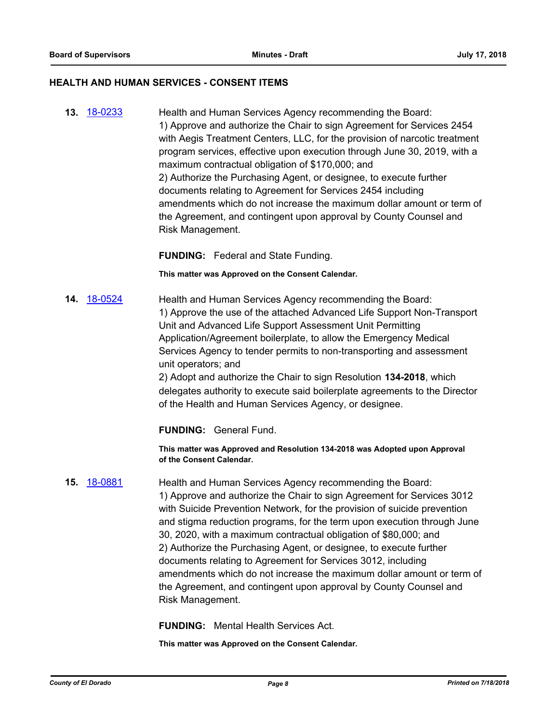#### **HEALTH AND HUMAN SERVICES - CONSENT ITEMS**

**13.** [18-0233](http://eldorado.legistar.com/gateway.aspx?m=l&id=/matter.aspx?key=23575) Health and Human Services Agency recommending the Board: 1) Approve and authorize the Chair to sign Agreement for Services 2454 with Aegis Treatment Centers, LLC, for the provision of narcotic treatment program services, effective upon execution through June 30, 2019, with a maximum contractual obligation of \$170,000; and 2) Authorize the Purchasing Agent, or designee, to execute further documents relating to Agreement for Services 2454 including amendments which do not increase the maximum dollar amount or term of the Agreement, and contingent upon approval by County Counsel and Risk Management.

**FUNDING:** Federal and State Funding.

**This matter was Approved on the Consent Calendar.**

**14.** [18-0524](http://eldorado.legistar.com/gateway.aspx?m=l&id=/matter.aspx?key=23869) Health and Human Services Agency recommending the Board: 1) Approve the use of the attached Advanced Life Support Non-Transport Unit and Advanced Life Support Assessment Unit Permitting Application/Agreement boilerplate, to allow the Emergency Medical Services Agency to tender permits to non-transporting and assessment unit operators; and

> 2) Adopt and authorize the Chair to sign Resolution **134-2018**, which delegates authority to execute said boilerplate agreements to the Director of the Health and Human Services Agency, or designee.

**FUNDING:** General Fund.

**This matter was Approved and Resolution 134-2018 was Adopted upon Approval of the Consent Calendar.**

**15.** [18-0881](http://eldorado.legistar.com/gateway.aspx?m=l&id=/matter.aspx?key=24228) Health and Human Services Agency recommending the Board: 1) Approve and authorize the Chair to sign Agreement for Services 3012 with Suicide Prevention Network, for the provision of suicide prevention and stigma reduction programs, for the term upon execution through June 30, 2020, with a maximum contractual obligation of \$80,000; and 2) Authorize the Purchasing Agent, or designee, to execute further documents relating to Agreement for Services 3012, including amendments which do not increase the maximum dollar amount or term of the Agreement, and contingent upon approval by County Counsel and Risk Management.

**FUNDING:** Mental Health Services Act.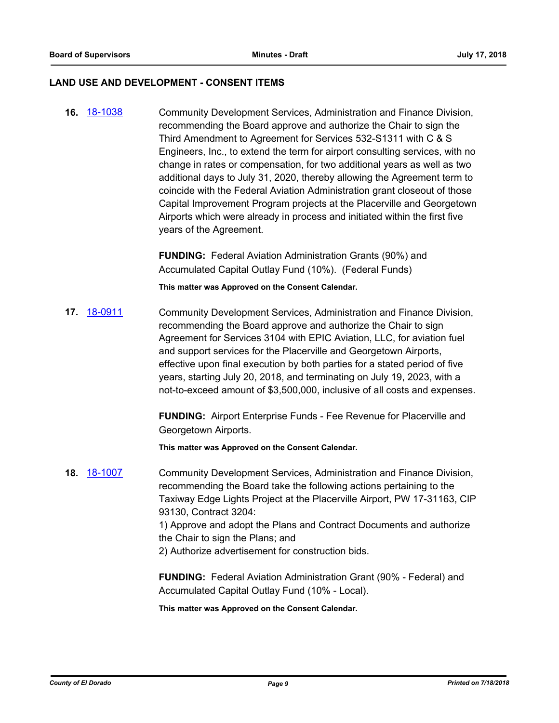#### **LAND USE AND DEVELOPMENT - CONSENT ITEMS**

**16.** [18-1038](http://eldorado.legistar.com/gateway.aspx?m=l&id=/matter.aspx?key=24387) Community Development Services, Administration and Finance Division, recommending the Board approve and authorize the Chair to sign the Third Amendment to Agreement for Services 532-S1311 with C & S Engineers, Inc., to extend the term for airport consulting services, with no change in rates or compensation, for two additional years as well as two additional days to July 31, 2020, thereby allowing the Agreement term to coincide with the Federal Aviation Administration grant closeout of those Capital Improvement Program projects at the Placerville and Georgetown Airports which were already in process and initiated within the first five years of the Agreement.

> **FUNDING:** Federal Aviation Administration Grants (90%) and Accumulated Capital Outlay Fund (10%). (Federal Funds)

**This matter was Approved on the Consent Calendar.**

**17.** [18-0911](http://eldorado.legistar.com/gateway.aspx?m=l&id=/matter.aspx?key=24259) Community Development Services, Administration and Finance Division, recommending the Board approve and authorize the Chair to sign Agreement for Services 3104 with EPIC Aviation, LLC, for aviation fuel and support services for the Placerville and Georgetown Airports, effective upon final execution by both parties for a stated period of five years, starting July 20, 2018, and terminating on July 19, 2023, with a not-to-exceed amount of \$3,500,000, inclusive of all costs and expenses.

> **FUNDING:** Airport Enterprise Funds - Fee Revenue for Placerville and Georgetown Airports.

**This matter was Approved on the Consent Calendar.**

**18.** [18-1007](http://eldorado.legistar.com/gateway.aspx?m=l&id=/matter.aspx?key=24356) Community Development Services, Administration and Finance Division, recommending the Board take the following actions pertaining to the Taxiway Edge Lights Project at the Placerville Airport, PW 17-31163, CIP 93130, Contract 3204: 1) Approve and adopt the Plans and Contract Documents and authorize the Chair to sign the Plans; and 2) Authorize advertisement for construction bids.

> **FUNDING:** Federal Aviation Administration Grant (90% - Federal) and Accumulated Capital Outlay Fund (10% - Local).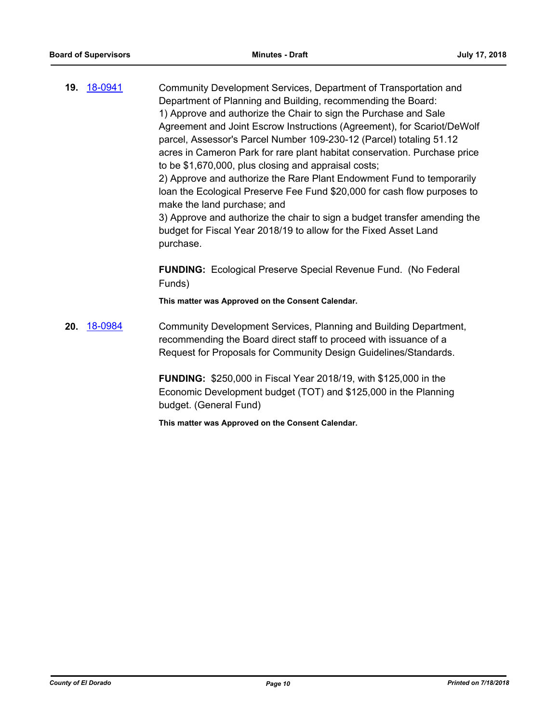**19.** [18-0941](http://eldorado.legistar.com/gateway.aspx?m=l&id=/matter.aspx?key=24289) Community Development Services, Department of Transportation and Department of Planning and Building, recommending the Board: 1) Approve and authorize the Chair to sign the Purchase and Sale Agreement and Joint Escrow Instructions (Agreement), for Scariot/DeWolf parcel, Assessor's Parcel Number 109-230-12 (Parcel) totaling 51.12 acres in Cameron Park for rare plant habitat conservation. Purchase price to be \$1,670,000, plus closing and appraisal costs; 2) Approve and authorize the Rare Plant Endowment Fund to temporarily loan the Ecological Preserve Fee Fund \$20,000 for cash flow purposes to make the land purchase; and 3) Approve and authorize the chair to sign a budget transfer amending the budget for Fiscal Year 2018/19 to allow for the Fixed Asset Land purchase. **FUNDING:** Ecological Preserve Special Revenue Fund. (No Federal Funds) **This matter was Approved on the Consent Calendar. 20.** [18-0984](http://eldorado.legistar.com/gateway.aspx?m=l&id=/matter.aspx?key=24332) Community Development Services, Planning and Building Department, recommending the Board direct staff to proceed with issuance of a Request for Proposals for Community Design Guidelines/Standards.

> **FUNDING:** \$250,000 in Fiscal Year 2018/19, with \$125,000 in the Economic Development budget (TOT) and \$125,000 in the Planning budget. (General Fund)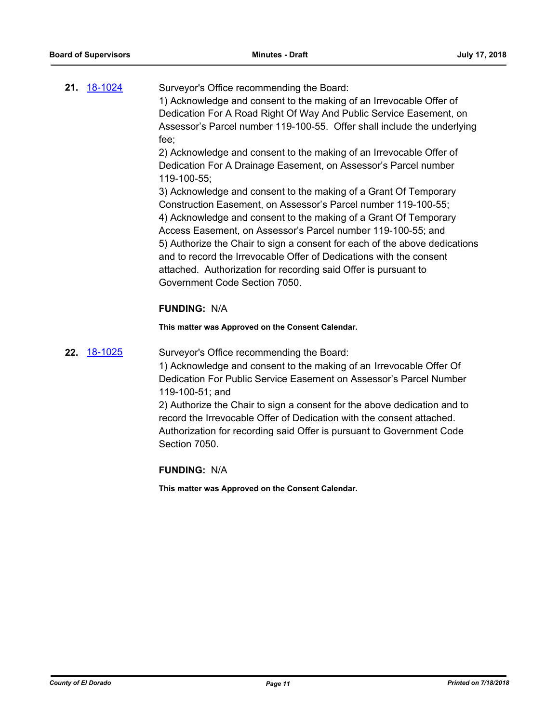| 21. <u>18-1024</u> | Surveyor's Office recommending the Board:                               |
|--------------------|-------------------------------------------------------------------------|
|                    | 1) Acknowledge and consent to the making of an Irrevocable Offer of     |
|                    | Dedication For A Road Right Of Way And Public Service Easement, on      |
|                    | Assessor's Parcel number 119-100-55. Offer shall include the underlying |
|                    | fee:                                                                    |
|                    | 2) Acknowledge and consent to the making of an Irrevocable Offer of     |
|                    | Dedication For A Drainage Easement, on Assessor's Parcel number         |

119-100-55; 3) Acknowledge and consent to the making of a Grant Of Temporary Construction Easement, on Assessor's Parcel number 119-100-55; 4) Acknowledge and consent to the making of a Grant Of Temporary Access Easement, on Assessor's Parcel number 119-100-55; and 5) Authorize the Chair to sign a consent for each of the above dedications and to record the Irrevocable Offer of Dedications with the consent

attached. Authorization for recording said Offer is pursuant to Government Code Section 7050.

## **FUNDING:** N/A

**This matter was Approved on the Consent Calendar.**

**22.** [18-1025](http://eldorado.legistar.com/gateway.aspx?m=l&id=/matter.aspx?key=24374) Surveyor's Office recommending the Board:

1) Acknowledge and consent to the making of an Irrevocable Offer Of Dedication For Public Service Easement on Assessor's Parcel Number 119-100-51; and

2) Authorize the Chair to sign a consent for the above dedication and to record the Irrevocable Offer of Dedication with the consent attached. Authorization for recording said Offer is pursuant to Government Code Section 7050.

**FUNDING:** N/A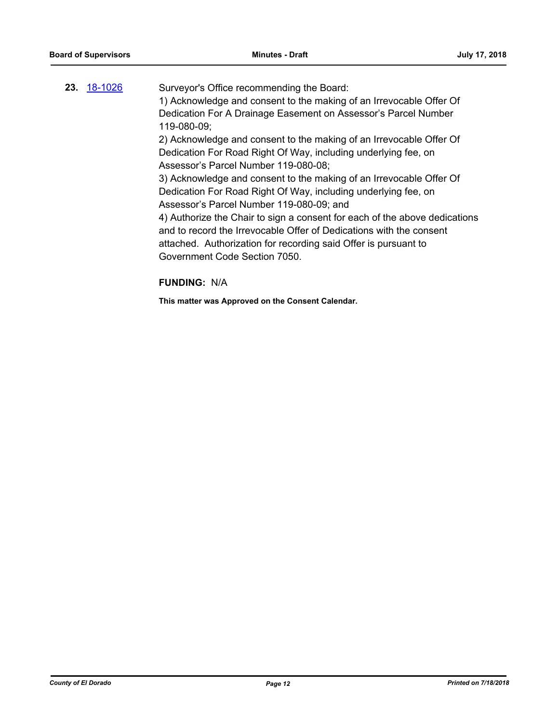| 23. | 18-1026 | Surveyor's Office recommending the Board:                                  |
|-----|---------|----------------------------------------------------------------------------|
|     |         | 1) Acknowledge and consent to the making of an Irrevocable Offer Of        |
|     |         | Dedication For A Drainage Easement on Assessor's Parcel Number             |
|     |         | 119-080-09;                                                                |
|     |         | 2) Acknowledge and consent to the making of an Irrevocable Offer Of        |
|     |         | Dedication For Road Right Of Way, including underlying fee, on             |
|     |         | Assessor's Parcel Number 119-080-08;                                       |
|     |         | 3) Acknowledge and consent to the making of an Irrevocable Offer Of        |
|     |         | Dedication For Road Right Of Way, including underlying fee, on             |
|     |         | Assessor's Parcel Number 119-080-09; and                                   |
|     |         | 4) Authorize the Chair to sign a consent for each of the above dedications |
|     |         | and to record the Irrevocable Offer of Dedications with the consent        |
|     |         | attached. Authorization for recording said Offer is pursuant to            |
|     |         | Government Code Section 7050.                                              |
|     |         |                                                                            |

# **FUNDING:** N/A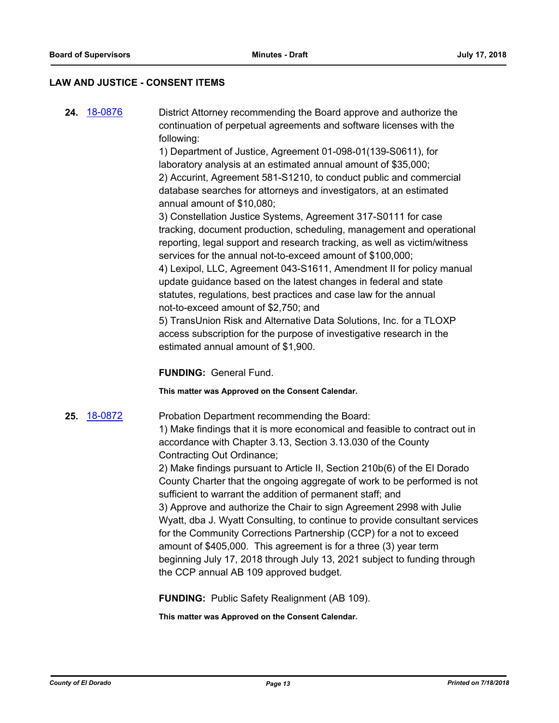#### **LAW AND JUSTICE - CONSENT ITEMS**

**24.** [18-0876](http://eldorado.legistar.com/gateway.aspx?m=l&id=/matter.aspx?key=24223) District Attorney recommending the Board approve and authorize the continuation of perpetual agreements and software licenses with the following:

> 1) Department of Justice, Agreement 01-098-01(139-S0611), for laboratory analysis at an estimated annual amount of \$35,000; 2) Accurint, Agreement 581-S1210, to conduct public and commercial database searches for attorneys and investigators, at an estimated annual amount of \$10,080;

3) Constellation Justice Systems, Agreement 317-S0111 for case tracking, document production, scheduling, management and operational reporting, legal support and research tracking, as well as victim/witness services for the annual not-to-exceed amount of \$100,000; 4) Lexipol, LLC, Agreement 043-S1611, Amendment II for policy manual update guidance based on the latest changes in federal and state statutes, regulations, best practices and case law for the annual

not-to-exceed amount of \$2,750; and 5) TransUnion Risk and Alternative Data Solutions, Inc. for a TLOXP access subscription for the purpose of investigative research in the estimated annual amount of \$1,900.

**FUNDING:** General Fund.

**This matter was Approved on the Consent Calendar.**

**25.** [18-0872](http://eldorado.legistar.com/gateway.aspx?m=l&id=/matter.aspx?key=24219) Probation Department recommending the Board:

1) Make findings that it is more economical and feasible to contract out in accordance with Chapter 3.13, Section 3.13.030 of the County Contracting Out Ordinance;

2) Make findings pursuant to Article II, Section 210b(6) of the El Dorado County Charter that the ongoing aggregate of work to be performed is not sufficient to warrant the addition of permanent staff; and 3) Approve and authorize the Chair to sign Agreement 2998 with Julie Wyatt, dba J. Wyatt Consulting, to continue to provide consultant services for the Community Corrections Partnership (CCP) for a not to exceed amount of \$405,000. This agreement is for a three (3) year term beginning July 17, 2018 through July 13, 2021 subject to funding through the CCP annual AB 109 approved budget.

**FUNDING:** Public Safety Realignment (AB 109).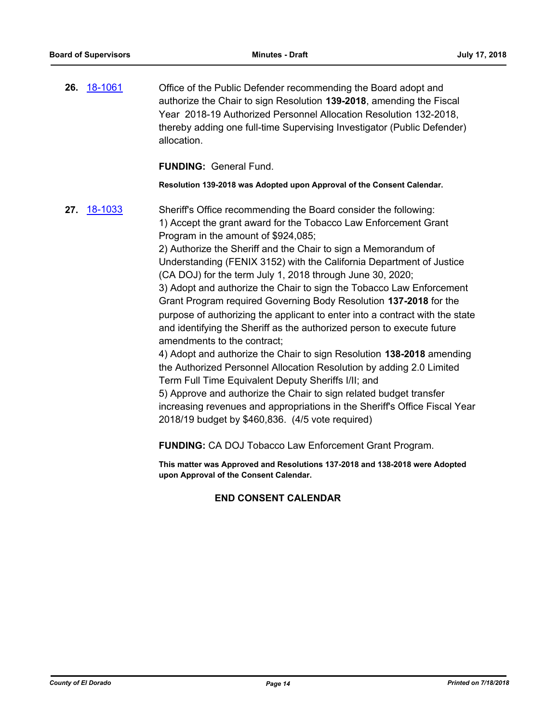**26.** [18-1061](http://eldorado.legistar.com/gateway.aspx?m=l&id=/matter.aspx?key=24411) Office of the Public Defender recommending the Board adopt and authorize the Chair to sign Resolution **139-2018**, amending the Fiscal Year 2018-19 Authorized Personnel Allocation Resolution 132-2018, thereby adding one full-time Supervising Investigator (Public Defender) allocation.

**FUNDING:** General Fund.

**Resolution 139-2018 was Adopted upon Approval of the Consent Calendar.**

**27.** [18-1033](http://eldorado.legistar.com/gateway.aspx?m=l&id=/matter.aspx?key=24382) Sheriff's Office recommending the Board consider the following: 1) Accept the grant award for the Tobacco Law Enforcement Grant Program in the amount of \$924,085;

> 2) Authorize the Sheriff and the Chair to sign a Memorandum of Understanding (FENIX 3152) with the California Department of Justice (CA DOJ) for the term July 1, 2018 through June 30, 2020;

3) Adopt and authorize the Chair to sign the Tobacco Law Enforcement Grant Program required Governing Body Resolution **137-2018** for the purpose of authorizing the applicant to enter into a contract with the state and identifying the Sheriff as the authorized person to execute future amendments to the contract;

4) Adopt and authorize the Chair to sign Resolution **138-2018** amending the Authorized Personnel Allocation Resolution by adding 2.0 Limited Term Full Time Equivalent Deputy Sheriffs I/II; and

5) Approve and authorize the Chair to sign related budget transfer increasing revenues and appropriations in the Sheriff's Office Fiscal Year 2018/19 budget by \$460,836. (4/5 vote required)

**FUNDING:** CA DOJ Tobacco Law Enforcement Grant Program.

**This matter was Approved and Resolutions 137-2018 and 138-2018 were Adopted upon Approval of the Consent Calendar.**

## **END CONSENT CALENDAR**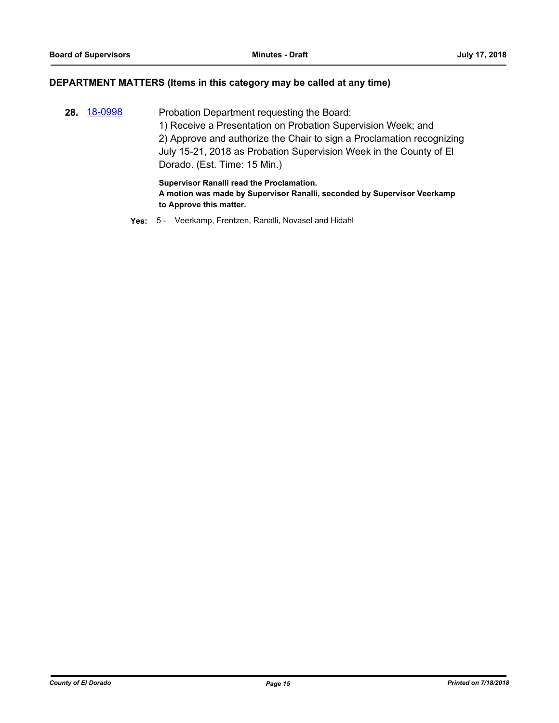#### **DEPARTMENT MATTERS (Items in this category may be called at any time)**

**28.** [18-0998](http://eldorado.legistar.com/gateway.aspx?m=l&id=/matter.aspx?key=24347) Probation Department requesting the Board: 1) Receive a Presentation on Probation Supervision Week; and 2) Approve and authorize the Chair to sign a Proclamation recognizing July 15-21, 2018 as Probation Supervision Week in the County of El Dorado. (Est. Time: 15 Min.)

> **Supervisor Ranalli read the Proclamation. A motion was made by Supervisor Ranalli, seconded by Supervisor Veerkamp to Approve this matter.**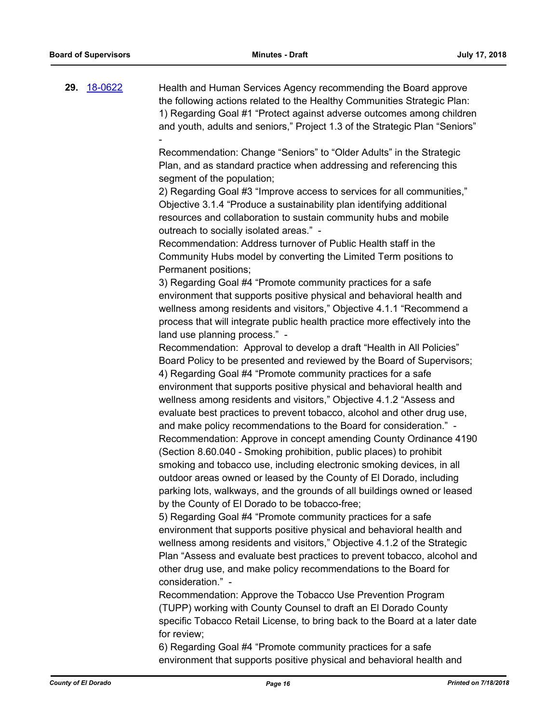**29.** [18-0622](http://eldorado.legistar.com/gateway.aspx?m=l&id=/matter.aspx?key=23967) Health and Human Services Agency recommending the Board approve the following actions related to the Healthy Communities Strategic Plan: 1) Regarding Goal #1 "Protect against adverse outcomes among children and youth, adults and seniors," Project 1.3 of the Strategic Plan "Seniors" -

> Recommendation: Change "Seniors" to "Older Adults" in the Strategic Plan, and as standard practice when addressing and referencing this segment of the population;

2) Regarding Goal #3 "Improve access to services for all communities," Objective 3.1.4 "Produce a sustainability plan identifying additional resources and collaboration to sustain community hubs and mobile outreach to socially isolated areas." -

Recommendation: Address turnover of Public Health staff in the Community Hubs model by converting the Limited Term positions to Permanent positions;

3) Regarding Goal #4 "Promote community practices for a safe environment that supports positive physical and behavioral health and wellness among residents and visitors," Objective 4.1.1 "Recommend a process that will integrate public health practice more effectively into the land use planning process." -

Recommendation: Approval to develop a draft "Health in All Policies" Board Policy to be presented and reviewed by the Board of Supervisors; 4) Regarding Goal #4 "Promote community practices for a safe environment that supports positive physical and behavioral health and wellness among residents and visitors," Objective 4.1.2 "Assess and evaluate best practices to prevent tobacco, alcohol and other drug use, and make policy recommendations to the Board for consideration." - Recommendation: Approve in concept amending County Ordinance 4190 (Section 8.60.040 - Smoking prohibition, public places) to prohibit smoking and tobacco use, including electronic smoking devices, in all outdoor areas owned or leased by the County of El Dorado, including parking lots, walkways, and the grounds of all buildings owned or leased by the County of El Dorado to be tobacco-free;

5) Regarding Goal #4 "Promote community practices for a safe environment that supports positive physical and behavioral health and wellness among residents and visitors," Objective 4.1.2 of the Strategic Plan "Assess and evaluate best practices to prevent tobacco, alcohol and other drug use, and make policy recommendations to the Board for consideration." -

Recommendation: Approve the Tobacco Use Prevention Program (TUPP) working with County Counsel to draft an El Dorado County specific Tobacco Retail License, to bring back to the Board at a later date for review;

6) Regarding Goal #4 "Promote community practices for a safe environment that supports positive physical and behavioral health and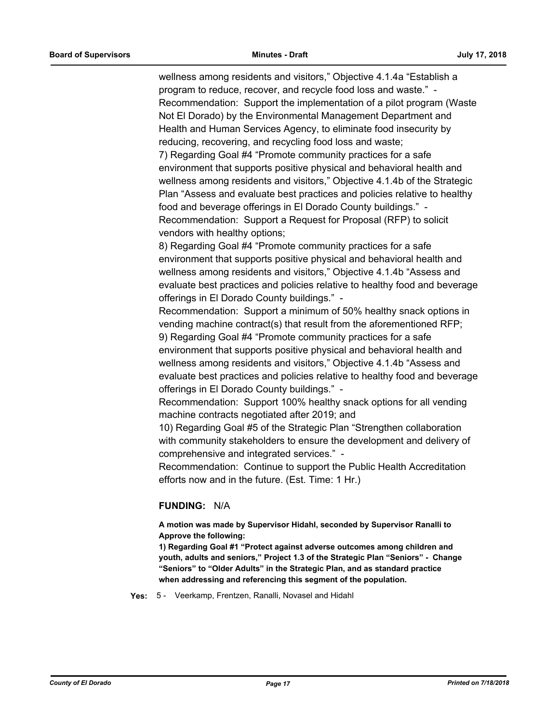wellness among residents and visitors," Objective 4.1.4a "Establish a program to reduce, recover, and recycle food loss and waste." - Recommendation: Support the implementation of a pilot program (Waste Not El Dorado) by the Environmental Management Department and Health and Human Services Agency, to eliminate food insecurity by reducing, recovering, and recycling food loss and waste;

7) Regarding Goal #4 "Promote community practices for a safe environment that supports positive physical and behavioral health and wellness among residents and visitors," Objective 4.1.4b of the Strategic Plan "Assess and evaluate best practices and policies relative to healthy food and beverage offerings in El Dorado County buildings." - Recommendation: Support a Request for Proposal (RFP) to solicit vendors with healthy options;

8) Regarding Goal #4 "Promote community practices for a safe environment that supports positive physical and behavioral health and wellness among residents and visitors," Objective 4.1.4b "Assess and evaluate best practices and policies relative to healthy food and beverage offerings in El Dorado County buildings." -

Recommendation: Support a minimum of 50% healthy snack options in vending machine contract(s) that result from the aforementioned RFP; 9) Regarding Goal #4 "Promote community practices for a safe environment that supports positive physical and behavioral health and wellness among residents and visitors," Objective 4.1.4b "Assess and evaluate best practices and policies relative to healthy food and beverage offerings in El Dorado County buildings." -

Recommendation: Support 100% healthy snack options for all vending machine contracts negotiated after 2019; and

10) Regarding Goal #5 of the Strategic Plan "Strengthen collaboration with community stakeholders to ensure the development and delivery of comprehensive and integrated services." -

Recommendation: Continue to support the Public Health Accreditation efforts now and in the future. (Est. Time: 1 Hr.)

## **FUNDING:** N/A

**A motion was made by Supervisor Hidahl, seconded by Supervisor Ranalli to Approve the following:**

**1) Regarding Goal #1 "Protect against adverse outcomes among children and youth, adults and seniors," Project 1.3 of the Strategic Plan "Seniors" - Change "Seniors" to "Older Adults" in the Strategic Plan, and as standard practice when addressing and referencing this segment of the population.**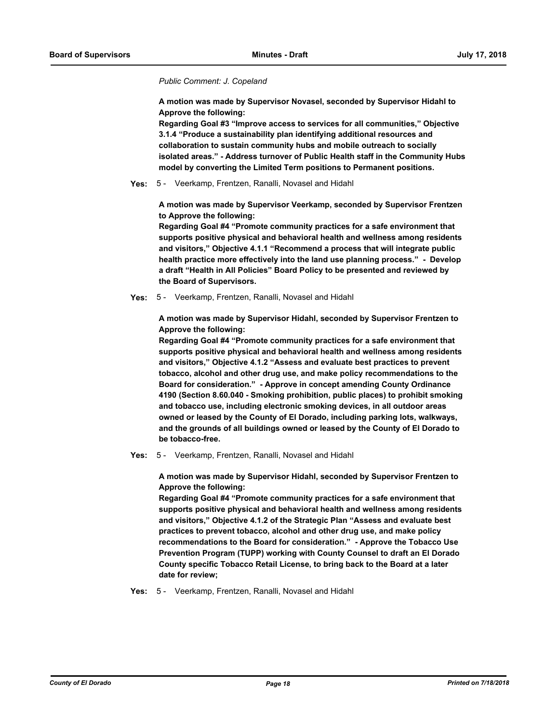#### *Public Comment: J. Copeland*

**A motion was made by Supervisor Novasel, seconded by Supervisor Hidahl to Approve the following:**

**Regarding Goal #3 "Improve access to services for all communities," Objective 3.1.4 "Produce a sustainability plan identifying additional resources and collaboration to sustain community hubs and mobile outreach to socially isolated areas." - Address turnover of Public Health staff in the Community Hubs model by converting the Limited Term positions to Permanent positions.**

#### **Yes:** 5 - Veerkamp, Frentzen, Ranalli, Novasel and Hidahl

**A motion was made by Supervisor Veerkamp, seconded by Supervisor Frentzen to Approve the following:**

**Regarding Goal #4 "Promote community practices for a safe environment that supports positive physical and behavioral health and wellness among residents and visitors," Objective 4.1.1 "Recommend a process that will integrate public health practice more effectively into the land use planning process." - Develop a draft "Health in All Policies" Board Policy to be presented and reviewed by the Board of Supervisors.**

#### **Yes:** 5 - Veerkamp, Frentzen, Ranalli, Novasel and Hidahl

**A motion was made by Supervisor Hidahl, seconded by Supervisor Frentzen to Approve the following:**

**Regarding Goal #4 "Promote community practices for a safe environment that supports positive physical and behavioral health and wellness among residents and visitors," Objective 4.1.2 "Assess and evaluate best practices to prevent tobacco, alcohol and other drug use, and make policy recommendations to the Board for consideration." - Approve in concept amending County Ordinance 4190 (Section 8.60.040 - Smoking prohibition, public places) to prohibit smoking and tobacco use, including electronic smoking devices, in all outdoor areas owned or leased by the County of El Dorado, including parking lots, walkways, and the grounds of all buildings owned or leased by the County of El Dorado to be tobacco-free.**

#### **Yes:** 5 - Veerkamp, Frentzen, Ranalli, Novasel and Hidahl

**A motion was made by Supervisor Hidahl, seconded by Supervisor Frentzen to Approve the following:**

**Regarding Goal #4 "Promote community practices for a safe environment that supports positive physical and behavioral health and wellness among residents and visitors," Objective 4.1.2 of the Strategic Plan "Assess and evaluate best practices to prevent tobacco, alcohol and other drug use, and make policy recommendations to the Board for consideration." - Approve the Tobacco Use Prevention Program (TUPP) working with County Counsel to draft an El Dorado County specific Tobacco Retail License, to bring back to the Board at a later date for review;**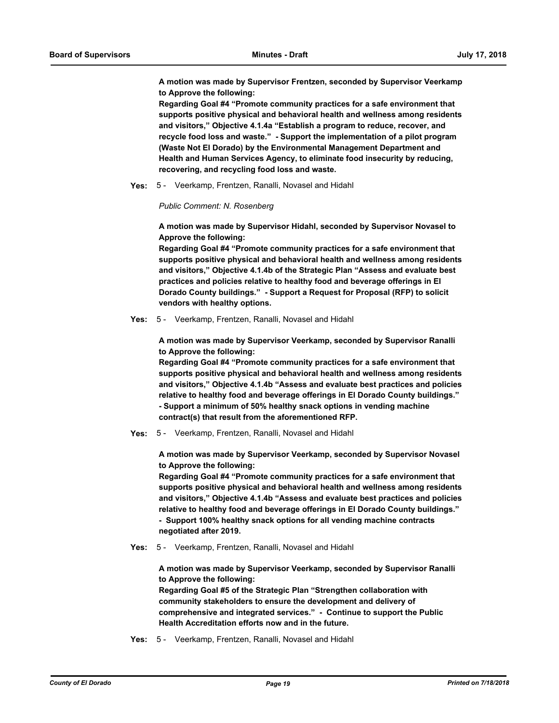**A motion was made by Supervisor Frentzen, seconded by Supervisor Veerkamp to Approve the following:**

**Regarding Goal #4 "Promote community practices for a safe environment that supports positive physical and behavioral health and wellness among residents and visitors," Objective 4.1.4a "Establish a program to reduce, recover, and recycle food loss and waste." - Support the implementation of a pilot program (Waste Not El Dorado) by the Environmental Management Department and Health and Human Services Agency, to eliminate food insecurity by reducing, recovering, and recycling food loss and waste.**

**Yes:** 5 - Veerkamp, Frentzen, Ranalli, Novasel and Hidahl

*Public Comment: N. Rosenberg*

**A motion was made by Supervisor Hidahl, seconded by Supervisor Novasel to Approve the following:**

**Regarding Goal #4 "Promote community practices for a safe environment that supports positive physical and behavioral health and wellness among residents and visitors," Objective 4.1.4b of the Strategic Plan "Assess and evaluate best practices and policies relative to healthy food and beverage offerings in El Dorado County buildings." - Support a Request for Proposal (RFP) to solicit vendors with healthy options.**

**Yes:** 5 - Veerkamp, Frentzen, Ranalli, Novasel and Hidahl

**A motion was made by Supervisor Veerkamp, seconded by Supervisor Ranalli to Approve the following:**

**Regarding Goal #4 "Promote community practices for a safe environment that supports positive physical and behavioral health and wellness among residents and visitors," Objective 4.1.4b "Assess and evaluate best practices and policies relative to healthy food and beverage offerings in El Dorado County buildings." - Support a minimum of 50% healthy snack options in vending machine contract(s) that result from the aforementioned RFP.**

**Yes:** 5 - Veerkamp, Frentzen, Ranalli, Novasel and Hidahl

**A motion was made by Supervisor Veerkamp, seconded by Supervisor Novasel to Approve the following:**

**Regarding Goal #4 "Promote community practices for a safe environment that supports positive physical and behavioral health and wellness among residents and visitors," Objective 4.1.4b "Assess and evaluate best practices and policies relative to healthy food and beverage offerings in El Dorado County buildings." - Support 100% healthy snack options for all vending machine contracts negotiated after 2019.**

**Yes:** 5 - Veerkamp, Frentzen, Ranalli, Novasel and Hidahl

**A motion was made by Supervisor Veerkamp, seconded by Supervisor Ranalli to Approve the following:**

**Regarding Goal #5 of the Strategic Plan "Strengthen collaboration with community stakeholders to ensure the development and delivery of comprehensive and integrated services." - Continue to support the Public Health Accreditation efforts now and in the future.**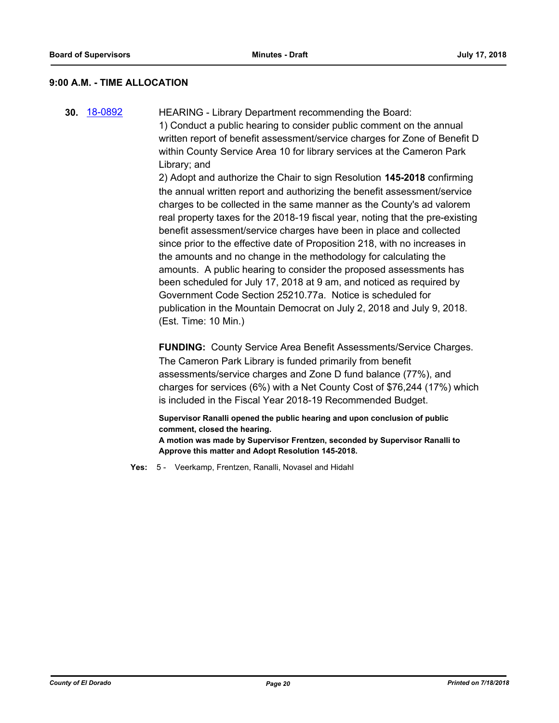#### **9:00 A.M. - TIME ALLOCATION**

**30.** [18-0892](http://eldorado.legistar.com/gateway.aspx?m=l&id=/matter.aspx?key=24239) HEARING - Library Department recommending the Board: 1) Conduct a public hearing to consider public comment on the annual written report of benefit assessment/service charges for Zone of Benefit D within County Service Area 10 for library services at the Cameron Park Library; and

2) Adopt and authorize the Chair to sign Resolution **145-2018** confirming the annual written report and authorizing the benefit assessment/service charges to be collected in the same manner as the County's ad valorem real property taxes for the 2018-19 fiscal year, noting that the pre-existing benefit assessment/service charges have been in place and collected since prior to the effective date of Proposition 218, with no increases in the amounts and no change in the methodology for calculating the amounts. A public hearing to consider the proposed assessments has been scheduled for July 17, 2018 at 9 am, and noticed as required by Government Code Section 25210.77a. Notice is scheduled for publication in the Mountain Democrat on July 2, 2018 and July 9, 2018. (Est. Time: 10 Min.)

**FUNDING:** County Service Area Benefit Assessments/Service Charges. The Cameron Park Library is funded primarily from benefit assessments/service charges and Zone D fund balance (77%), and charges for services (6%) with a Net County Cost of \$76,244 (17%) which is included in the Fiscal Year 2018-19 Recommended Budget.

**Supervisor Ranalli opened the public hearing and upon conclusion of public comment, closed the hearing. A motion was made by Supervisor Frentzen, seconded by Supervisor Ranalli to Approve this matter and Adopt Resolution 145-2018.**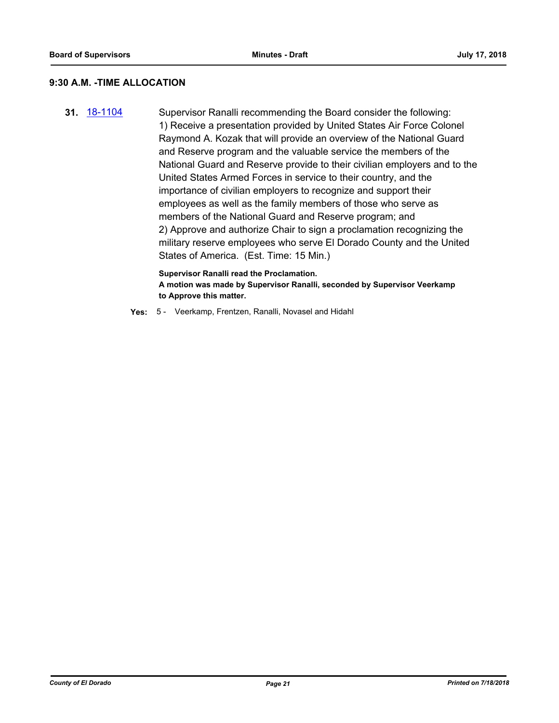## **9:30 A.M. -TIME ALLOCATION**

**31.** [18-1104](http://eldorado.legistar.com/gateway.aspx?m=l&id=/matter.aspx?key=24454) Supervisor Ranalli recommending the Board consider the following: 1) Receive a presentation provided by United States Air Force Colonel Raymond A. Kozak that will provide an overview of the National Guard and Reserve program and the valuable service the members of the National Guard and Reserve provide to their civilian employers and to the United States Armed Forces in service to their country, and the importance of civilian employers to recognize and support their employees as well as the family members of those who serve as members of the National Guard and Reserve program; and 2) Approve and authorize Chair to sign a proclamation recognizing the military reserve employees who serve El Dorado County and the United States of America. (Est. Time: 15 Min.)

> **Supervisor Ranalli read the Proclamation. A motion was made by Supervisor Ranalli, seconded by Supervisor Veerkamp to Approve this matter.**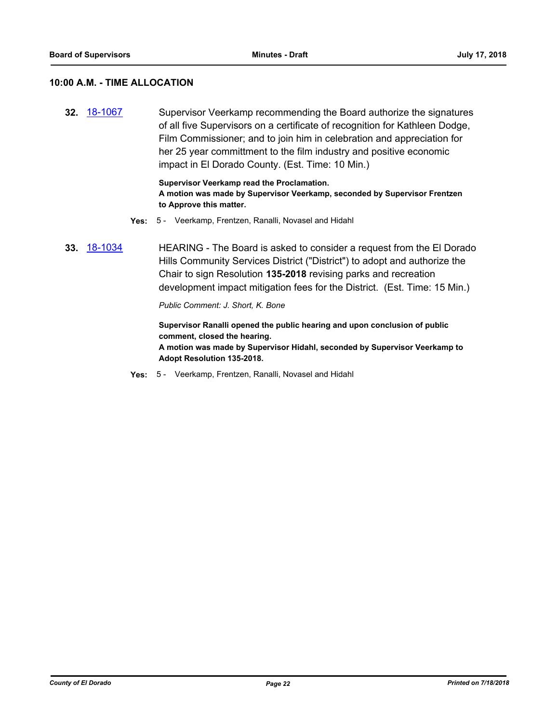#### **10:00 A.M. - TIME ALLOCATION**

**32.** [18-1067](http://eldorado.legistar.com/gateway.aspx?m=l&id=/matter.aspx?key=24417) Supervisor Veerkamp recommending the Board authorize the signatures of all five Supervisors on a certificate of recognition for Kathleen Dodge, Film Commissioner; and to join him in celebration and appreciation for her 25 year committment to the film industry and positive economic impact in El Dorado County. (Est. Time: 10 Min.)

> **Supervisor Veerkamp read the Proclamation. A motion was made by Supervisor Veerkamp, seconded by Supervisor Frentzen to Approve this matter.**

- **Yes:** 5 Veerkamp, Frentzen, Ranalli, Novasel and Hidahl
- **33.** [18-1034](http://eldorado.legistar.com/gateway.aspx?m=l&id=/matter.aspx?key=24383) HEARING The Board is asked to consider a request from the El Dorado Hills Community Services District ("District") to adopt and authorize the Chair to sign Resolution **135-2018** revising parks and recreation development impact mitigation fees for the District. (Est. Time: 15 Min.)

*Public Comment: J. Short, K. Bone*

**Supervisor Ranalli opened the public hearing and upon conclusion of public comment, closed the hearing. A motion was made by Supervisor Hidahl, seconded by Supervisor Veerkamp to Adopt Resolution 135-2018.**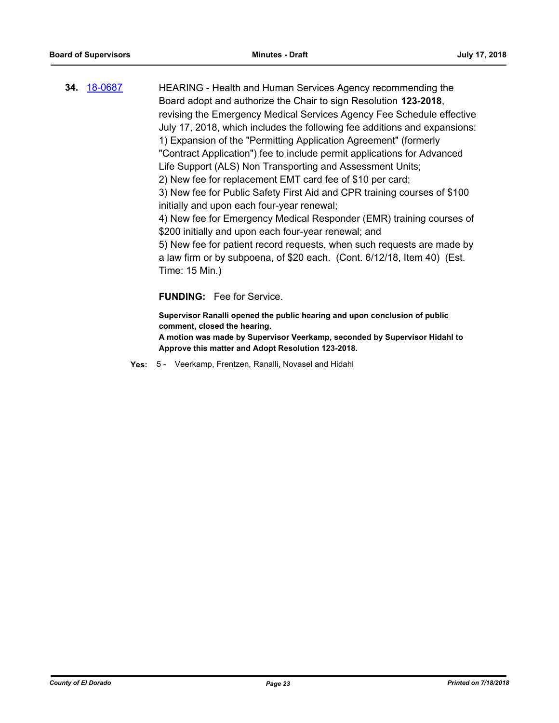**34.** [18-0687](http://eldorado.legistar.com/gateway.aspx?m=l&id=/matter.aspx?key=24032) HEARING - Health and Human Services Agency recommending the Board adopt and authorize the Chair to sign Resolution **123-2018**, revising the Emergency Medical Services Agency Fee Schedule effective July 17, 2018, which includes the following fee additions and expansions: 1) Expansion of the "Permitting Application Agreement" (formerly "Contract Application") fee to include permit applications for Advanced Life Support (ALS) Non Transporting and Assessment Units; 2) New fee for replacement EMT card fee of \$10 per card; 3) New fee for Public Safety First Aid and CPR training courses of \$100 initially and upon each four-year renewal; 4) New fee for Emergency Medical Responder (EMR) training courses of \$200 initially and upon each four-year renewal; and 5) New fee for patient record requests, when such requests are made by a law firm or by subpoena, of \$20 each. (Cont. 6/12/18, Item 40) (Est. Time: 15 Min.) **FUNDING:** Fee for Service.

**Supervisor Ranalli opened the public hearing and upon conclusion of public comment, closed the hearing.**

**A motion was made by Supervisor Veerkamp, seconded by Supervisor Hidahl to Approve this matter and Adopt Resolution 123-2018.**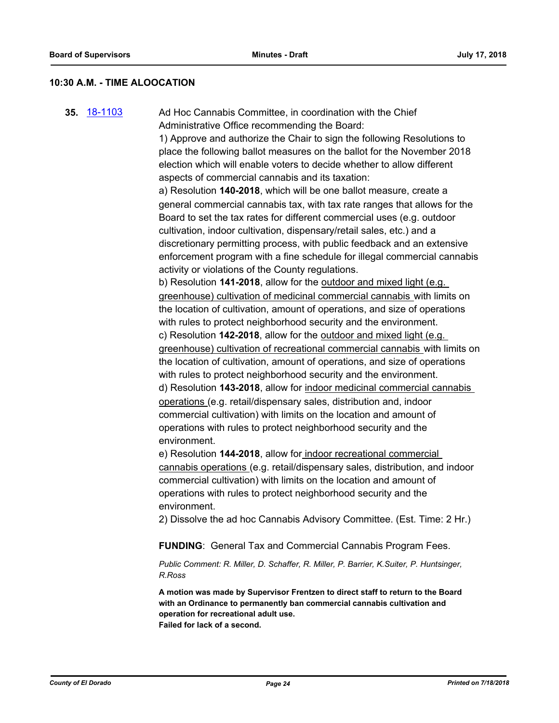#### **10:30 A.M. - TIME ALOOCATION**

**35.** [18-1103](http://eldorado.legistar.com/gateway.aspx?m=l&id=/matter.aspx?key=24453) Ad Hoc Cannabis Committee, in coordination with the Chief Administrative Office recommending the Board: 1) Approve and authorize the Chair to sign the following Resolutions to place the following ballot measures on the ballot for the November 2018 election which will enable voters to decide whether to allow different aspects of commercial cannabis and its taxation: a) Resolution **140-2018**, which will be one ballot measure, create a general commercial cannabis tax, with tax rate ranges that allows for the Board to set the tax rates for different commercial uses (e.g. outdoor cultivation, indoor cultivation, dispensary/retail sales, etc.) and a discretionary permitting process, with public feedback and an extensive enforcement program with a fine schedule for illegal commercial cannabis activity or violations of the County regulations. b) Resolution **141-2018**, allow for the outdoor and mixed light (e.g. greenhouse) cultivation of medicinal commercial cannabis with limits on the location of cultivation, amount of operations, and size of operations with rules to protect neighborhood security and the environment. c) Resolution **142-2018**, allow for the outdoor and mixed light (e.g. greenhouse) cultivation of recreational commercial cannabis with limits on the location of cultivation, amount of operations, and size of operations with rules to protect neighborhood security and the environment. d) Resolution **143-2018**, allow for indoor medicinal commercial cannabis operations (e.g. retail/dispensary sales, distribution and, indoor commercial cultivation) with limits on the location and amount of operations with rules to protect neighborhood security and the environment. e) Resolution **144-2018**, allow for indoor recreational commercial cannabis operations (e.g. retail/dispensary sales, distribution, and indoor commercial cultivation) with limits on the location and amount of operations with rules to protect neighborhood security and the environment. 2) Dissolve the ad hoc Cannabis Advisory Committee. (Est. Time: 2 Hr.) **FUNDING**: General Tax and Commercial Cannabis Program Fees. *Public Comment: R. Miller, D. Schaffer, R. Miller, P. Barrier, K.Suiter, P. Huntsinger, R.Ross* **A motion was made by Supervisor Frentzen to direct staff to return to the Board with an Ordinance to permanently ban commercial cannabis cultivation and operation for recreational adult use. Failed for lack of a second.**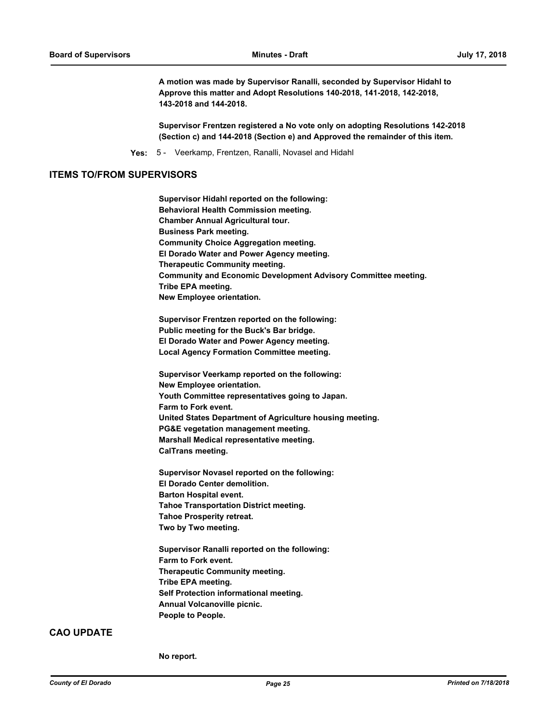**A motion was made by Supervisor Ranalli, seconded by Supervisor Hidahl to Approve this matter and Adopt Resolutions 140-2018, 141-2018, 142-2018, 143-2018 and 144-2018.**

**Supervisor Frentzen registered a No vote only on adopting Resolutions 142-2018 (Section c) and 144-2018 (Section e) and Approved the remainder of this item.**

**Yes:** 5 - Veerkamp, Frentzen, Ranalli, Novasel and Hidahl

#### **ITEMS TO/FROM SUPERVISORS**

**Supervisor Hidahl reported on the following: Behavioral Health Commission meeting. Chamber Annual Agricultural tour. Business Park meeting. Community Choice Aggregation meeting. El Dorado Water and Power Agency meeting. Therapeutic Community meeting. Community and Economic Development Advisory Committee meeting. Tribe EPA meeting. New Employee orientation. Supervisor Frentzen reported on the following: Public meeting for the Buck's Bar bridge. El Dorado Water and Power Agency meeting. Local Agency Formation Committee meeting. Supervisor Veerkamp reported on the following: New Employee orientation. Youth Committee representatives going to Japan. Farm to Fork event. United States Department of Agriculture housing meeting. PG&E vegetation management meeting. Marshall Medical representative meeting. CalTrans meeting. Supervisor Novasel reported on the following: El Dorado Center demolition. Barton Hospital event.**

**Tahoe Transportation District meeting. Tahoe Prosperity retreat. Two by Two meeting.**

**Supervisor Ranalli reported on the following: Farm to Fork event. Therapeutic Community meeting. Tribe EPA meeting. Self Protection informational meeting. Annual Volcanoville picnic. People to People.**

#### **CAO UPDATE**

**No report.**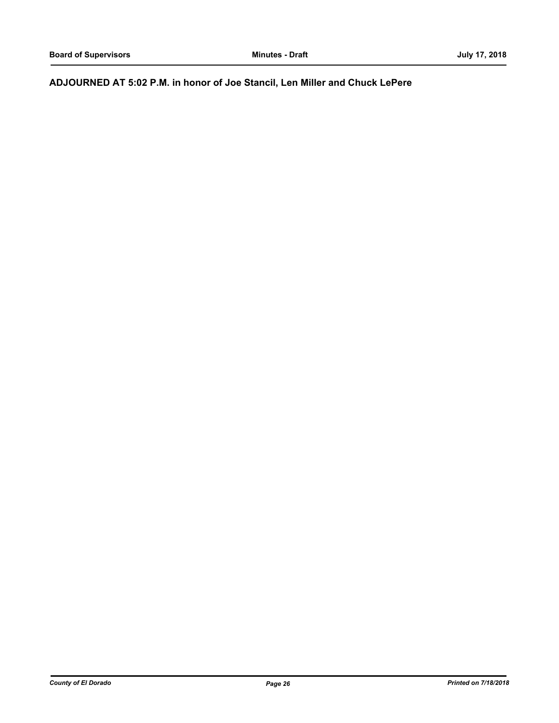# **ADJOURNED AT 5:02 P.M. in honor of Joe Stancil, Len Miller and Chuck LePere**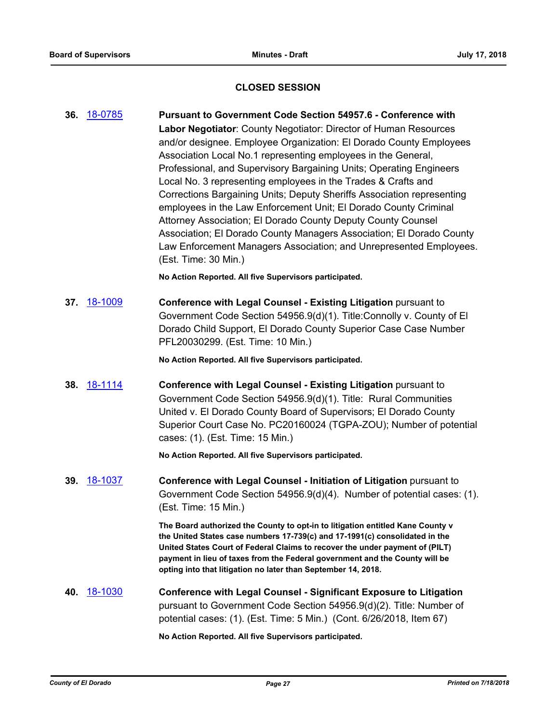## **CLOSED SESSION**

**36.** [18-0785](http://eldorado.legistar.com/gateway.aspx?m=l&id=/matter.aspx?key=24132) **Pursuant to Government Code Section 54957.6 - Conference with Labor Negotiator**: County Negotiator: Director of Human Resources and/or designee. Employee Organization: El Dorado County Employees Association Local No.1 representing employees in the General, Professional, and Supervisory Bargaining Units; Operating Engineers Local No. 3 representing employees in the Trades & Crafts and Corrections Bargaining Units; Deputy Sheriffs Association representing employees in the Law Enforcement Unit; El Dorado County Criminal Attorney Association; El Dorado County Deputy County Counsel Association; El Dorado County Managers Association; El Dorado County Law Enforcement Managers Association; and Unrepresented Employees. (Est. Time: 30 Min.) **No Action Reported. All five Supervisors participated. 37.** [18-1009](http://eldorado.legistar.com/gateway.aspx?m=l&id=/matter.aspx?key=24358) **Conference with Legal Counsel - Existing Litigation** pursuant to Government Code Section 54956.9(d)(1). Title:Connolly v. County of El Dorado Child Support, El Dorado County Superior Case Case Number PFL20030299. (Est. Time: 10 Min.) **No Action Reported. All five Supervisors participated. 38.** [18-1114](http://eldorado.legistar.com/gateway.aspx?m=l&id=/matter.aspx?key=24464) **Conference with Legal Counsel - Existing Litigation** pursuant to Government Code Section 54956.9(d)(1). Title: Rural Communities United v. El Dorado County Board of Supervisors; El Dorado County Superior Court Case No. PC20160024 (TGPA-ZOU); Number of potential cases: (1). (Est. Time: 15 Min.) **No Action Reported. All five Supervisors participated. 39.** [18-1037](http://eldorado.legistar.com/gateway.aspx?m=l&id=/matter.aspx?key=24386) **Conference with Legal Counsel - Initiation of Litigation** pursuant to Government Code Section 54956.9(d)(4). Number of potential cases: (1). (Est. Time: 15 Min.) **The Board authorized the County to opt-in to litigation entitled Kane County v the United States case numbers 17-739(c) and 17-1991(c) consolidated in the United States Court of Federal Claims to recover the under payment of (PILT) payment in lieu of taxes from the Federal government and the County will be opting into that litigation no later than September 14, 2018. 40.** [18-1030](http://eldorado.legistar.com/gateway.aspx?m=l&id=/matter.aspx?key=24379) **Conference with Legal Counsel - Significant Exposure to Litigation** pursuant to Government Code Section 54956.9(d)(2). Title: Number of potential cases: (1). (Est. Time: 5 Min.) (Cont. 6/26/2018, Item 67) **No Action Reported. All five Supervisors participated.**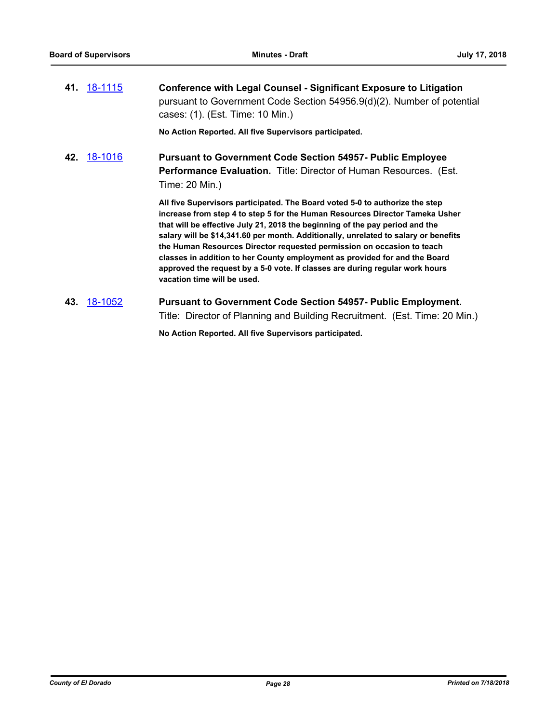| 41 18-1115        | <b>Conference with Legal Counsel - Significant Exposure to Litigation</b><br>pursuant to Government Code Section 54956.9(d)(2). Number of potential<br>cases: (1). (Est. Time: 10 Min.) |
|-------------------|-----------------------------------------------------------------------------------------------------------------------------------------------------------------------------------------|
|                   | No Action Reported. All five Supervisors participated.                                                                                                                                  |
| <b>42</b> 18-1016 | <b>Pursuant to Government Code Section 54957- Public Employee</b><br>Performance Evaluation. Title: Director of Human Resources. (Est.<br>Time: 20 Min.)                                |
|                   | All five Supervisors participated. The Board voted 5-0 to authorize the step                                                                                                            |

**increase from step 4 to step 5 for the Human Resources Director Tameka Usher that will be effective July 21, 2018 the beginning of the pay period and the salary will be \$14,341.60 per month. Additionally, unrelated to salary or benefits the Human Resources Director requested permission on occasion to teach classes in addition to her County employment as provided for and the Board approved the request by a 5-0 vote. If classes are during regular work hours vacation time will be used.**

**43.** [18-1052](http://eldorado.legistar.com/gateway.aspx?m=l&id=/matter.aspx?key=24401) **Pursuant to Government Code Section 54957- Public Employment.** Title: Director of Planning and Building Recruitment. (Est. Time: 20 Min.)

**No Action Reported. All five Supervisors participated.**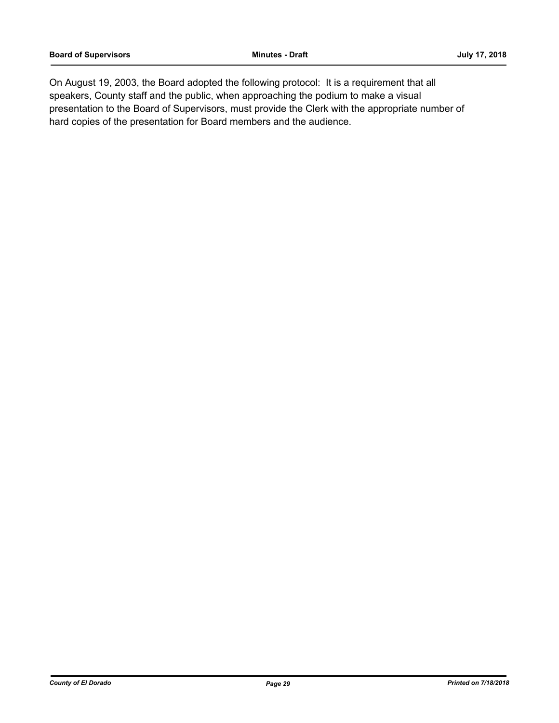On August 19, 2003, the Board adopted the following protocol: It is a requirement that all speakers, County staff and the public, when approaching the podium to make a visual presentation to the Board of Supervisors, must provide the Clerk with the appropriate number of hard copies of the presentation for Board members and the audience.